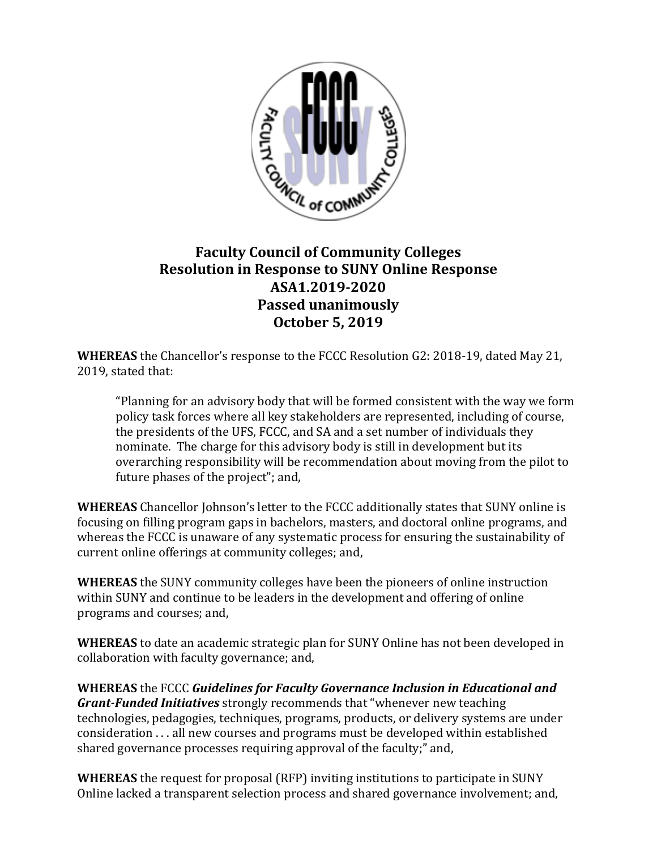

## **Faculty Council of Community Colleges Resolution in Response to SUNY Online Response ASA1.2019-2020 Passed unanimously October 5, 2019**

**WHEREAS** the Chancellor's response to the FCCC Resolution G2: 2018-19, dated May 21, 2019, stated that:

"Planning for an advisory body that will be formed consistent with the way we form policy task forces where all key stakeholders are represented, including of course, the presidents of the UFS, FCCC, and SA and a set number of individuals they nominate. The charge for this advisory body is still in development but its overarching responsibility will be recommendation about moving from the pilot to future phases of the project"; and,

**WHEREAS** Chancellor Johnson's letter to the FCCC additionally states that SUNY online is focusing on filling program gaps in bachelors, masters, and doctoral online programs, and whereas the FCCC is unaware of any systematic process for ensuring the sustainability of current online offerings at community colleges; and,

**WHEREAS** the SUNY community colleges have been the pioneers of online instruction within SUNY and continue to be leaders in the development and offering of online programs and courses; and,

**WHEREAS** to date an academic strategic plan for SUNY Online has not been developed in collaboration with faculty governance; and,

**WHEREAS** the FCCC *Guidelines for Faculty Governance Inclusion in Educational and Grant-Funded Initiatives* strongly recommends that "whenever new teaching technologies, pedagogies, techniques, programs, products, or delivery systems are under consideration . . . all new courses and programs must be developed within established shared governance processes requiring approval of the faculty;" and,

**WHEREAS** the request for proposal (RFP) inviting institutions to participate in SUNY Online lacked a transparent selection process and shared governance involvement; and,